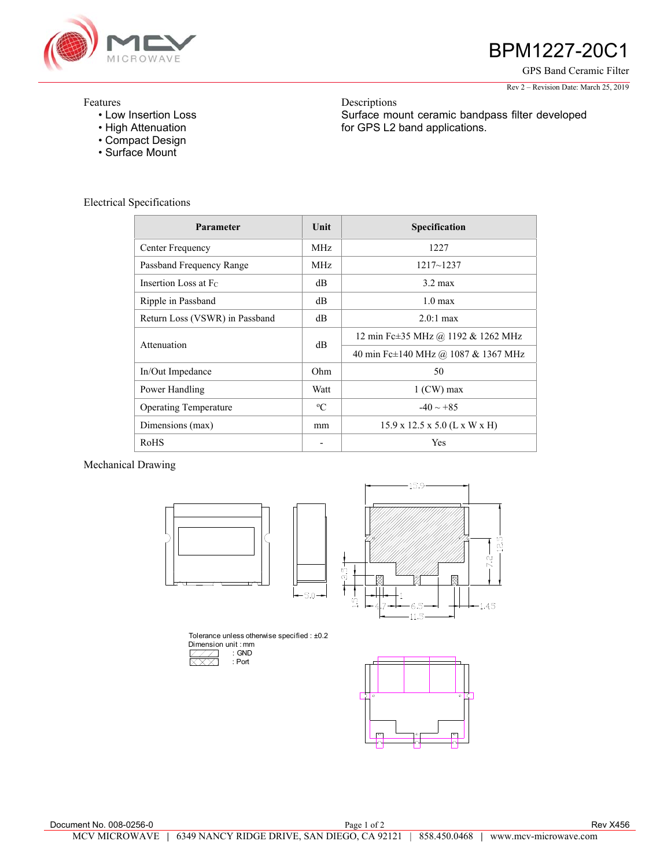

## BPM1227-20C1

GPS Band Ceramic Filter

Rev 2 – Revision Date: March 25, 2019

## Features

- Low Insertion Loss
- High Attenuation
- Compact Design
- Surface Mount

Descriptions Surface mount ceramic bandpass filter developed for GPS L2 band applications.

|  | <b>Electrical Specifications</b> |
|--|----------------------------------|
|--|----------------------------------|

| Parameter                      | Unit        | Specification                             |
|--------------------------------|-------------|-------------------------------------------|
| Center Frequency               | MHz.        | 1227                                      |
| Passband Frequency Range       | MHz.        | $1217 - 1237$                             |
| Insertion Loss at Fc.          | dB          | $3.2 \text{ max}$                         |
| Ripple in Passband             | dB          | $1.0 \text{ max}$                         |
| Return Loss (VSWR) in Passband | dB          | $2.0:1$ max                               |
| Attenuation                    | dB          | 12 min Fc±35 MHz @ 1192 & 1262 MHz        |
|                                |             | 40 min Fc±140 MHz @ 1087 & 1367 MHz       |
| In/Out Impedance               | Ohm         | 50                                        |
| Power Handling                 | Watt        | $1$ (CW) max                              |
| <b>Operating Temperature</b>   | $\rm ^{o}C$ | $-40 \sim +85$                            |
| Dimensions (max)               | mm          | $15.9 \times 12.5 \times 5.0$ (L x W x H) |
| RoHS                           | -           | Yes                                       |

Mechanical Drawing





Tolerance unless otherwise specified : ±0.2 Dimension unit : mm : GND **XXX**